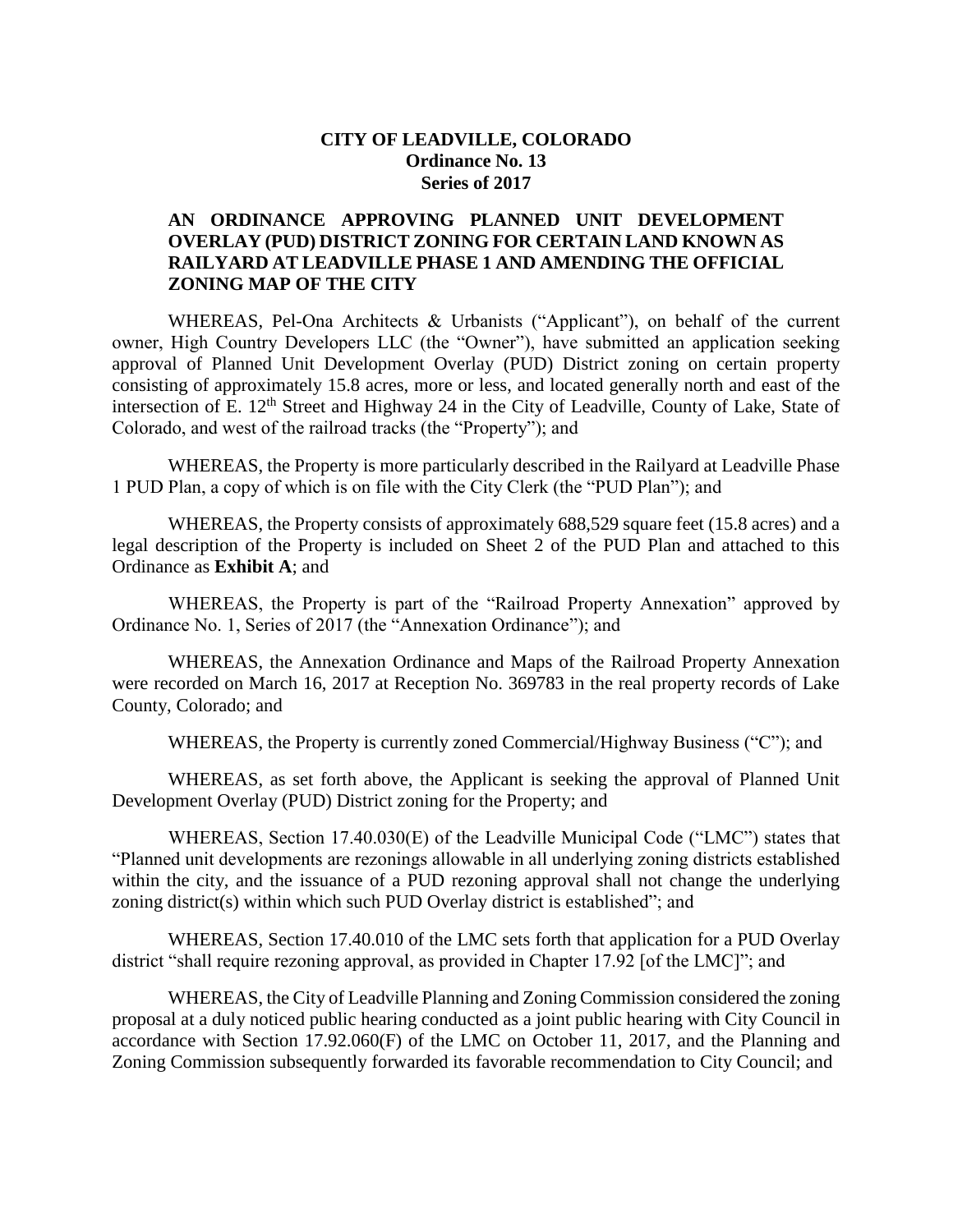# **CITY OF LEADVILLE, COLORADO Ordinance No. 13 Series of 2017**

# **AN ORDINANCE APPROVING PLANNED UNIT DEVELOPMENT OVERLAY (PUD) DISTRICT ZONING FOR CERTAIN LAND KNOWN AS RAILYARD AT LEADVILLE PHASE 1 AND AMENDING THE OFFICIAL ZONING MAP OF THE CITY**

WHEREAS, Pel-Ona Architects & Urbanists ("Applicant"), on behalf of the current owner, High Country Developers LLC (the "Owner"), have submitted an application seeking approval of Planned Unit Development Overlay (PUD) District zoning on certain property consisting of approximately 15.8 acres, more or less, and located generally north and east of the intersection of E. 12<sup>th</sup> Street and Highway 24 in the City of Leadville, County of Lake, State of Colorado, and west of the railroad tracks (the "Property"); and

WHEREAS, the Property is more particularly described in the Railyard at Leadville Phase 1 PUD Plan, a copy of which is on file with the City Clerk (the "PUD Plan"); and

WHEREAS, the Property consists of approximately 688,529 square feet (15.8 acres) and a legal description of the Property is included on Sheet 2 of the PUD Plan and attached to this Ordinance as **Exhibit A**; and

WHEREAS, the Property is part of the "Railroad Property Annexation" approved by Ordinance No. 1, Series of 2017 (the "Annexation Ordinance"); and

WHEREAS, the Annexation Ordinance and Maps of the Railroad Property Annexation were recorded on March 16, 2017 at Reception No. 369783 in the real property records of Lake County, Colorado; and

WHEREAS, the Property is currently zoned Commercial/Highway Business ("C"); and

WHEREAS, as set forth above, the Applicant is seeking the approval of Planned Unit Development Overlay (PUD) District zoning for the Property; and

WHEREAS, Section 17.40.030(E) of the Leadville Municipal Code ("LMC") states that "Planned unit developments are rezonings allowable in all underlying zoning districts established within the city, and the issuance of a PUD rezoning approval shall not change the underlying zoning district(s) within which such PUD Overlay district is established"; and

WHEREAS, Section 17.40.010 of the LMC sets forth that application for a PUD Overlay district "shall require rezoning approval, as provided in Chapter 17.92 [of the LMC]"; and

WHEREAS, the City of Leadville Planning and Zoning Commission considered the zoning proposal at a duly noticed public hearing conducted as a joint public hearing with City Council in accordance with Section 17.92.060(F) of the LMC on October 11, 2017, and the Planning and Zoning Commission subsequently forwarded its favorable recommendation to City Council; and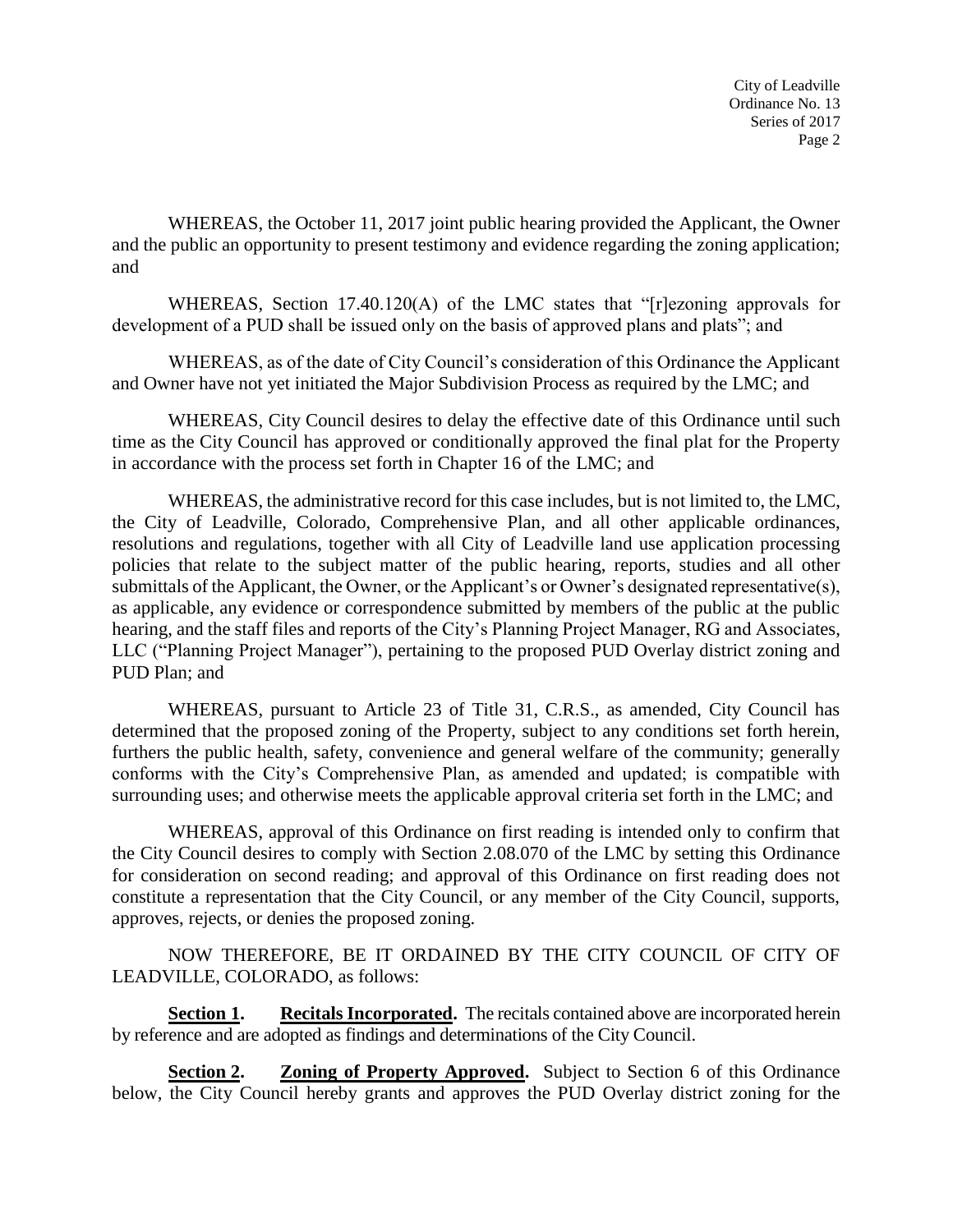WHEREAS, the October 11, 2017 joint public hearing provided the Applicant, the Owner and the public an opportunity to present testimony and evidence regarding the zoning application; and

WHEREAS, Section 17.40.120(A) of the LMC states that "[r]ezoning approvals for development of a PUD shall be issued only on the basis of approved plans and plats"; and

WHEREAS, as of the date of City Council's consideration of this Ordinance the Applicant and Owner have not yet initiated the Major Subdivision Process as required by the LMC; and

WHEREAS, City Council desires to delay the effective date of this Ordinance until such time as the City Council has approved or conditionally approved the final plat for the Property in accordance with the process set forth in Chapter 16 of the LMC; and

WHEREAS, the administrative record for this case includes, but is not limited to, the LMC, the City of Leadville, Colorado, Comprehensive Plan, and all other applicable ordinances, resolutions and regulations, together with all City of Leadville land use application processing policies that relate to the subject matter of the public hearing, reports, studies and all other submittals of the Applicant, the Owner, or the Applicant's or Owner's designated representative(s), as applicable, any evidence or correspondence submitted by members of the public at the public hearing, and the staff files and reports of the City's Planning Project Manager, RG and Associates, LLC ("Planning Project Manager"), pertaining to the proposed PUD Overlay district zoning and PUD Plan; and

WHEREAS, pursuant to Article 23 of Title 31, C.R.S., as amended, City Council has determined that the proposed zoning of the Property, subject to any conditions set forth herein, furthers the public health, safety, convenience and general welfare of the community; generally conforms with the City's Comprehensive Plan, as amended and updated; is compatible with surrounding uses; and otherwise meets the applicable approval criteria set forth in the LMC; and

WHEREAS, approval of this Ordinance on first reading is intended only to confirm that the City Council desires to comply with Section 2.08.070 of the LMC by setting this Ordinance for consideration on second reading; and approval of this Ordinance on first reading does not constitute a representation that the City Council, or any member of the City Council, supports, approves, rejects, or denies the proposed zoning.

NOW THEREFORE, BE IT ORDAINED BY THE CITY COUNCIL OF CITY OF LEADVILLE, COLORADO, as follows:

**Section 1. Recitals Incorporated.** The recitals contained above are incorporated herein by reference and are adopted as findings and determinations of the City Council.

**Section 2. Zoning of Property Approved.** Subject to Section 6 of this Ordinance below, the City Council hereby grants and approves the PUD Overlay district zoning for the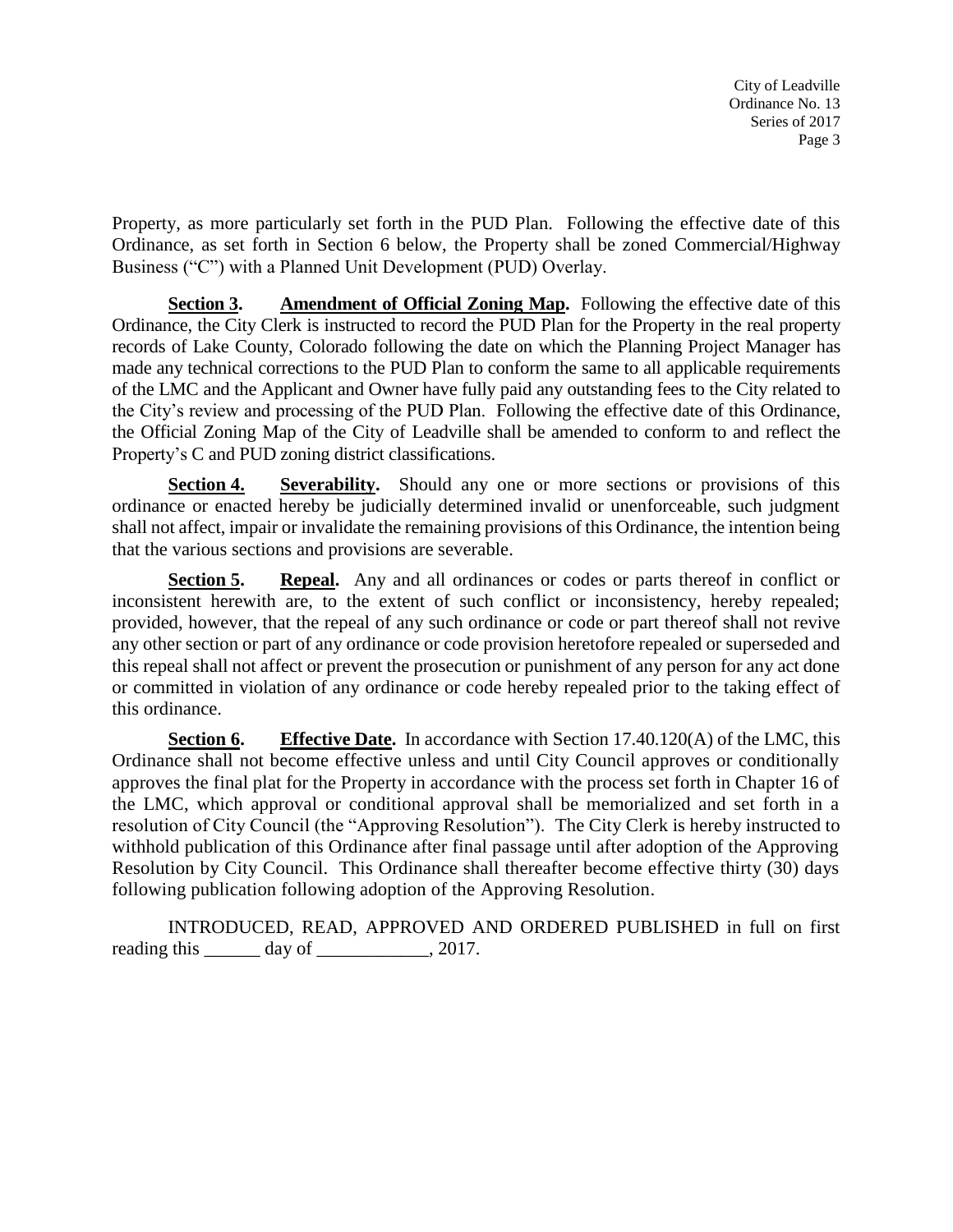Property, as more particularly set forth in the PUD Plan. Following the effective date of this Ordinance, as set forth in Section 6 below, the Property shall be zoned Commercial/Highway Business ("C") with a Planned Unit Development (PUD) Overlay.

**Section 3. Amendment of Official Zoning Map.** Following the effective date of this Ordinance, the City Clerk is instructed to record the PUD Plan for the Property in the real property records of Lake County, Colorado following the date on which the Planning Project Manager has made any technical corrections to the PUD Plan to conform the same to all applicable requirements of the LMC and the Applicant and Owner have fully paid any outstanding fees to the City related to the City's review and processing of the PUD Plan. Following the effective date of this Ordinance, the Official Zoning Map of the City of Leadville shall be amended to conform to and reflect the Property's C and PUD zoning district classifications.

**Section 4. Severability.** Should any one or more sections or provisions of this ordinance or enacted hereby be judicially determined invalid or unenforceable, such judgment shall not affect, impair or invalidate the remaining provisions of this Ordinance, the intention being that the various sections and provisions are severable.

**Section 5. Repeal.** Any and all ordinances or codes or parts thereof in conflict or inconsistent herewith are, to the extent of such conflict or inconsistency, hereby repealed; provided, however, that the repeal of any such ordinance or code or part thereof shall not revive any other section or part of any ordinance or code provision heretofore repealed or superseded and this repeal shall not affect or prevent the prosecution or punishment of any person for any act done or committed in violation of any ordinance or code hereby repealed prior to the taking effect of this ordinance.

**Section 6. Effective Date.** In accordance with Section 17.40.120(A) of the LMC, this Ordinance shall not become effective unless and until City Council approves or conditionally approves the final plat for the Property in accordance with the process set forth in Chapter 16 of the LMC, which approval or conditional approval shall be memorialized and set forth in a resolution of City Council (the "Approving Resolution"). The City Clerk is hereby instructed to withhold publication of this Ordinance after final passage until after adoption of the Approving Resolution by City Council. This Ordinance shall thereafter become effective thirty (30) days following publication following adoption of the Approving Resolution.

INTRODUCED, READ, APPROVED AND ORDERED PUBLISHED in full on first reading this \_\_\_\_\_\_\_ day of \_\_\_\_\_\_\_\_\_\_\_, 2017.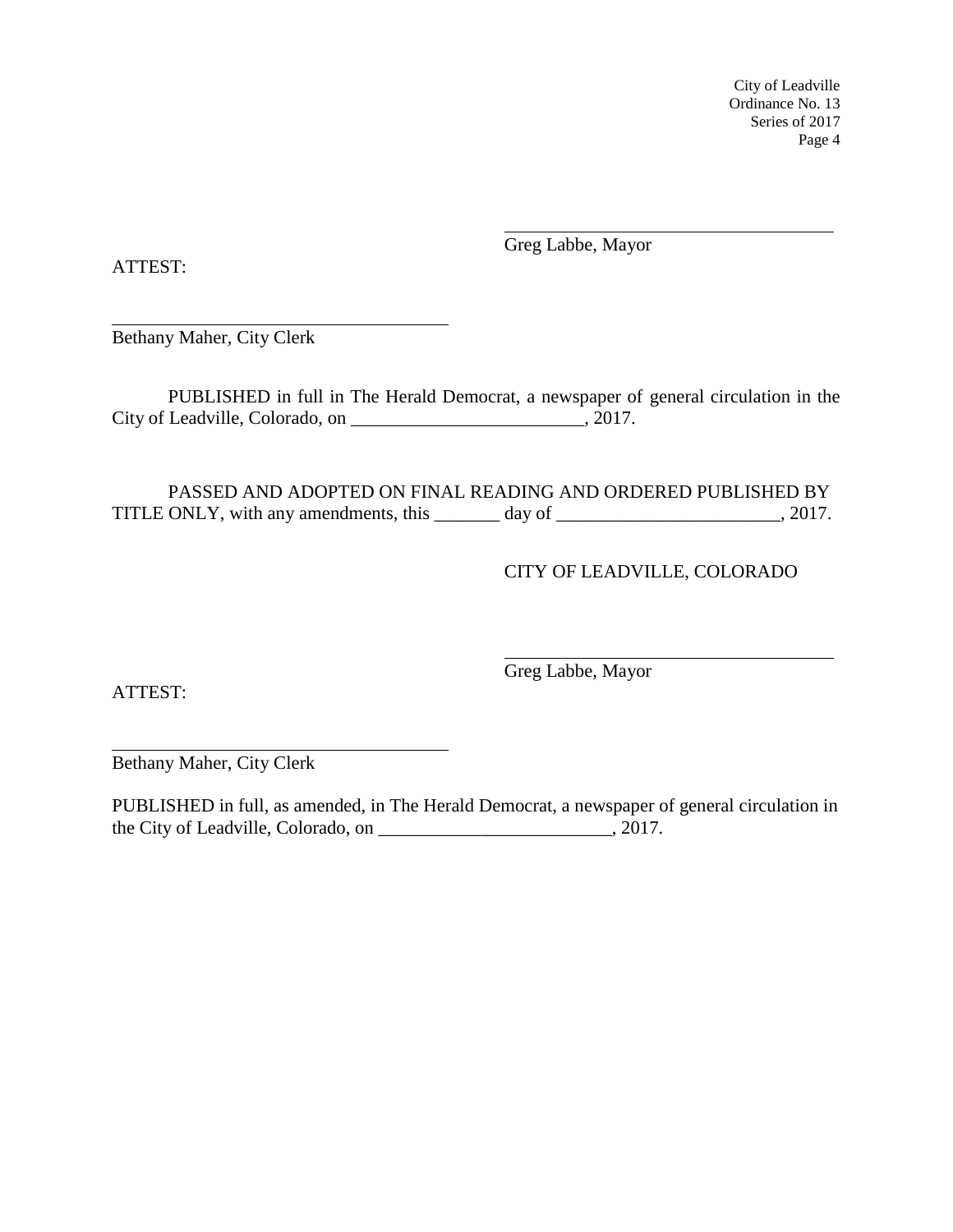Greg Labbe, Mayor

ATTEST:

Bethany Maher, City Clerk

PUBLISHED in full in The Herald Democrat, a newspaper of general circulation in the City of Leadville, Colorado, on \_\_\_\_\_\_\_\_\_\_\_\_\_\_\_\_\_\_\_\_\_\_\_\_\_\_, 2017.

PASSED AND ADOPTED ON FINAL READING AND ORDERED PUBLISHED BY TITLE ONLY, with any amendments, this \_\_\_\_\_\_\_ day of \_\_\_\_\_\_\_\_\_\_\_\_\_\_\_\_\_\_\_\_\_\_\_\_\_, 2017.

# CITY OF LEADVILLE, COLORADO

ATTEST:

Greg Labbe, Mayor

Bethany Maher, City Clerk

PUBLISHED in full, as amended, in The Herald Democrat, a newspaper of general circulation in the City of Leadville, Colorado, on \_\_\_\_\_\_\_\_\_\_\_\_\_\_\_\_\_\_\_\_\_\_\_\_\_, 2017.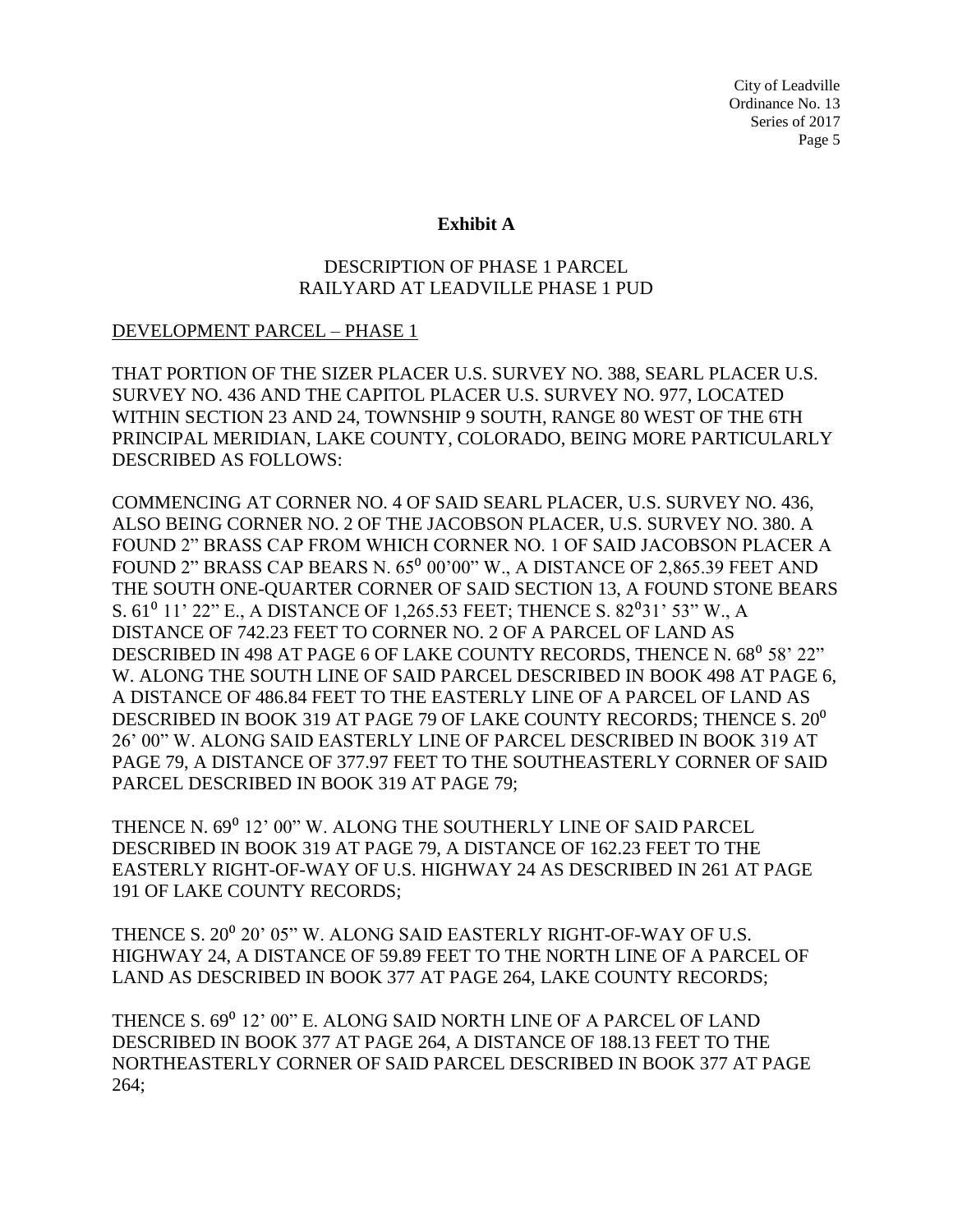#### **Exhibit A**

## DESCRIPTION OF PHASE 1 PARCEL RAILYARD AT LEADVILLE PHASE 1 PUD

### DEVELOPMENT PARCEL – PHASE 1

THAT PORTION OF THE SIZER PLACER U.S. SURVEY NO. 388, SEARL PLACER U.S. SURVEY NO. 436 AND THE CAPITOL PLACER U.S. SURVEY NO. 977, LOCATED WITHIN SECTION 23 AND 24, TOWNSHIP 9 SOUTH, RANGE 80 WEST OF THE 6TH PRINCIPAL MERIDIAN, LAKE COUNTY, COLORADO, BEING MORE PARTICULARLY DESCRIBED AS FOLLOWS:

COMMENCING AT CORNER NO. 4 OF SAID SEARL PLACER, U.S. SURVEY NO. 436, ALSO BEING CORNER NO. 2 OF THE JACOBSON PLACER, U.S. SURVEY NO. 380. A FOUND 2" BRASS CAP FROM WHICH CORNER NO. 1 OF SAID JACOBSON PLACER A FOUND 2" BRASS CAP BEARS N.  $65^{\circ}$   $00'00''$  W., A DISTANCE OF 2,865.39 FEET AND THE SOUTH ONE-QUARTER CORNER OF SAID SECTION 13, A FOUND STONE BEARS S.  $61^{\circ}$  11' 22" E., A DISTANCE OF 1,265.53 FEET; THENCE S.  $82^{\circ}$ 31' 53" W., A DISTANCE OF 742.23 FEET TO CORNER NO. 2 OF A PARCEL OF LAND AS DESCRIBED IN 498 AT PAGE 6 OF LAKE COUNTY RECORDS, THENCE N. 68<sup>0</sup> 58' 22" W. ALONG THE SOUTH LINE OF SAID PARCEL DESCRIBED IN BOOK 498 AT PAGE 6, A DISTANCE OF 486.84 FEET TO THE EASTERLY LINE OF A PARCEL OF LAND AS DESCRIBED IN BOOK 319 AT PAGE 79 OF LAKE COUNTY RECORDS; THENCE S. 20<sup>0</sup> 26' 00" W. ALONG SAID EASTERLY LINE OF PARCEL DESCRIBED IN BOOK 319 AT PAGE 79, A DISTANCE OF 377.97 FEET TO THE SOUTHEASTERLY CORNER OF SAID PARCEL DESCRIBED IN BOOK 319 AT PAGE 79;

THENCE N. 69<sup>0</sup> 12' 00" W. ALONG THE SOUTHERLY LINE OF SAID PARCEL DESCRIBED IN BOOK 319 AT PAGE 79, A DISTANCE OF 162.23 FEET TO THE EASTERLY RIGHT-OF-WAY OF U.S. HIGHWAY 24 AS DESCRIBED IN 261 AT PAGE 191 OF LAKE COUNTY RECORDS;

THENCE S. 20<sup>0</sup> 20' 05" W. ALONG SAID EASTERLY RIGHT-OF-WAY OF U.S. HIGHWAY 24, A DISTANCE OF 59.89 FEET TO THE NORTH LINE OF A PARCEL OF LAND AS DESCRIBED IN BOOK 377 AT PAGE 264, LAKE COUNTY RECORDS;

THENCE S. 69⁰ 12' 00" E. ALONG SAID NORTH LINE OF A PARCEL OF LAND DESCRIBED IN BOOK 377 AT PAGE 264, A DISTANCE OF 188.13 FEET TO THE NORTHEASTERLY CORNER OF SAID PARCEL DESCRIBED IN BOOK 377 AT PAGE 264;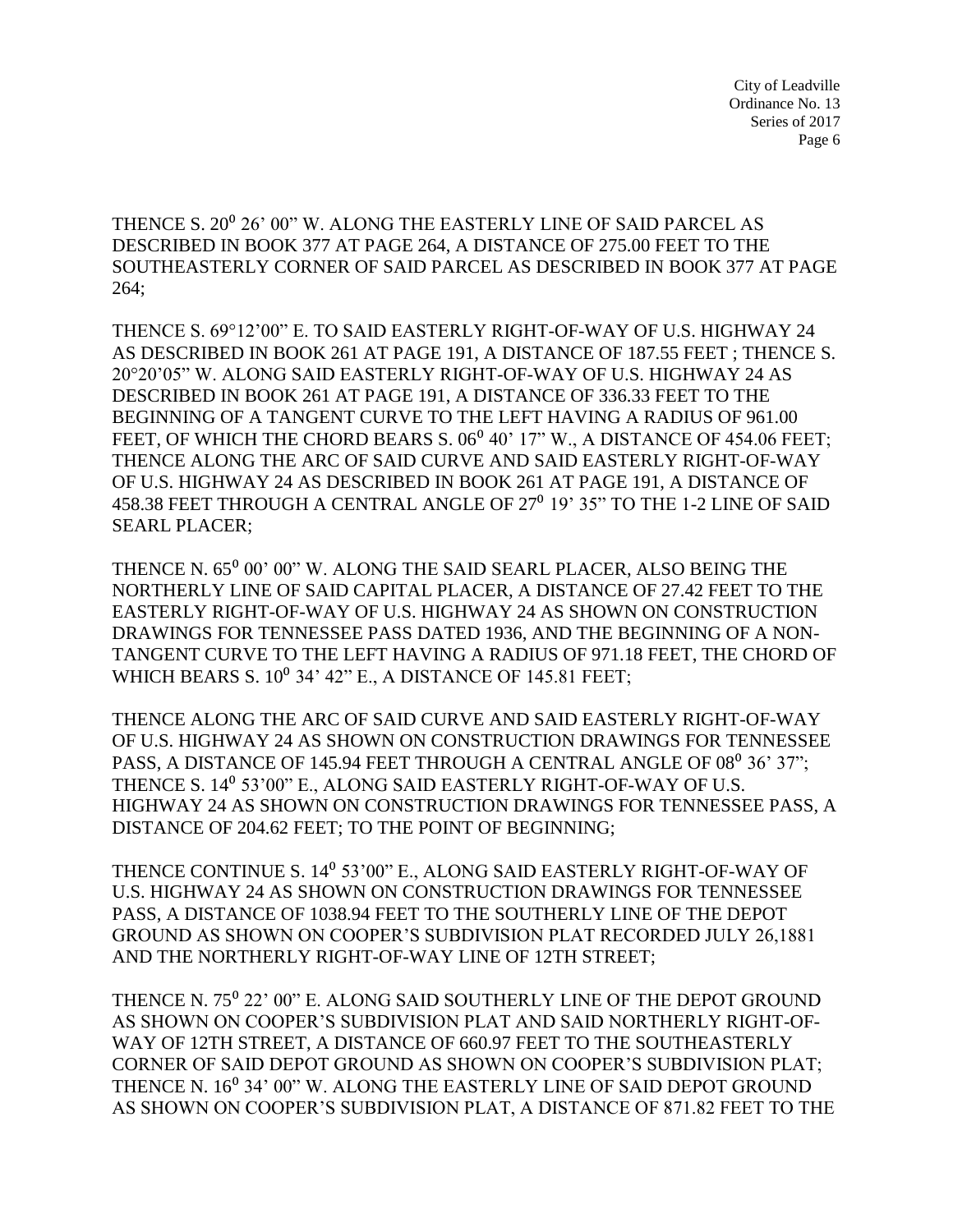THENCE S. 20<sup>0</sup> 26' 00" W. ALONG THE EASTERLY LINE OF SAID PARCEL AS DESCRIBED IN BOOK 377 AT PAGE 264, A DISTANCE OF 275.00 FEET TO THE SOUTHEASTERLY CORNER OF SAID PARCEL AS DESCRIBED IN BOOK 377 AT PAGE 264;

THENCE S. 69°12'00" E. TO SAID EASTERLY RIGHT-OF-WAY OF U.S. HIGHWAY 24 AS DESCRIBED IN BOOK 261 AT PAGE 191, A DISTANCE OF 187.55 FEET ; THENCE S. 20°20'05" W. ALONG SAID EASTERLY RIGHT-OF-WAY OF U.S. HIGHWAY 24 AS DESCRIBED IN BOOK 261 AT PAGE 191, A DISTANCE OF 336.33 FEET TO THE BEGINNING OF A TANGENT CURVE TO THE LEFT HAVING A RADIUS OF 961.00 FEET, OF WHICH THE CHORD BEARS S. 06<sup>0</sup> 40' 17" W., A DISTANCE OF 454.06 FEET; THENCE ALONG THE ARC OF SAID CURVE AND SAID EASTERLY RIGHT-OF-WAY OF U.S. HIGHWAY 24 AS DESCRIBED IN BOOK 261 AT PAGE 191, A DISTANCE OF 458.38 FEET THROUGH A CENTRAL ANGLE OF 27<sup>0</sup> 19' 35" TO THE 1-2 LINE OF SAID SEARL PLACER;

THENCE N. 65<sup>0</sup> 00' 00" W. ALONG THE SAID SEARL PLACER, ALSO BEING THE NORTHERLY LINE OF SAID CAPITAL PLACER, A DISTANCE OF 27.42 FEET TO THE EASTERLY RIGHT-OF-WAY OF U.S. HIGHWAY 24 AS SHOWN ON CONSTRUCTION DRAWINGS FOR TENNESSEE PASS DATED 1936, AND THE BEGINNING OF A NON-TANGENT CURVE TO THE LEFT HAVING A RADIUS OF 971.18 FEET, THE CHORD OF WHICH BEARS S.  $10^0$  34' 42" E., A DISTANCE OF 145.81 FEET;

THENCE ALONG THE ARC OF SAID CURVE AND SAID EASTERLY RIGHT-OF-WAY OF U.S. HIGHWAY 24 AS SHOWN ON CONSTRUCTION DRAWINGS FOR TENNESSEE PASS, A DISTANCE OF 145.94 FEET THROUGH A CENTRAL ANGLE OF 08<sup>0</sup> 36' 37"; THENCE S. 14<sup>0</sup> 53'00" E., ALONG SAID EASTERLY RIGHT-OF-WAY OF U.S. HIGHWAY 24 AS SHOWN ON CONSTRUCTION DRAWINGS FOR TENNESSEE PASS, A DISTANCE OF 204.62 FEET; TO THE POINT OF BEGINNING;

THENCE CONTINUE S. 14<sup>0</sup> 53'00" E., ALONG SAID EASTERLY RIGHT-OF-WAY OF U.S. HIGHWAY 24 AS SHOWN ON CONSTRUCTION DRAWINGS FOR TENNESSEE PASS, A DISTANCE OF 1038.94 FEET TO THE SOUTHERLY LINE OF THE DEPOT GROUND AS SHOWN ON COOPER'S SUBDIVISION PLAT RECORDED JULY 26,1881 AND THE NORTHERLY RIGHT-OF-WAY LINE OF 12TH STREET;

THENCE N. 75<sup>°</sup> 22' 00" E. ALONG SAID SOUTHERLY LINE OF THE DEPOT GROUND AS SHOWN ON COOPER'S SUBDIVISION PLAT AND SAID NORTHERLY RIGHT-OF-WAY OF 12TH STREET, A DISTANCE OF 660.97 FEET TO THE SOUTHEASTERLY CORNER OF SAID DEPOT GROUND AS SHOWN ON COOPER'S SUBDIVISION PLAT; THENCE N. 16<sup>0</sup> 34' 00" W. ALONG THE EASTERLY LINE OF SAID DEPOT GROUND AS SHOWN ON COOPER'S SUBDIVISION PLAT, A DISTANCE OF 871.82 FEET TO THE